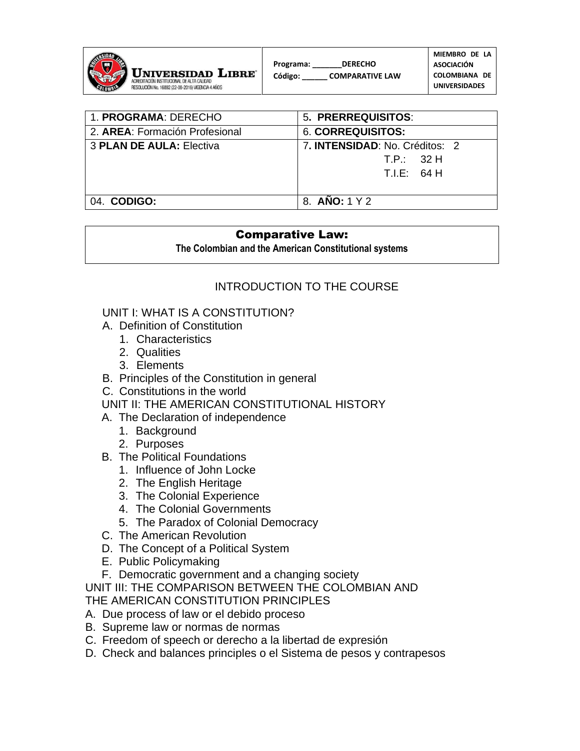

| 1. PROGRAMA: DERECHO           | 5. PRERREQUISITOS:                                 |
|--------------------------------|----------------------------------------------------|
| 2. AREA: Formación Profesional | <b>6. CORREQUISITOS:</b>                           |
| 3 PLAN DE AULA: Electiva       | 7. <b>INTENSIDAD</b> : No. Créditos: 2<br>TP: 32 H |
|                                | T.E: 64 H                                          |
| 04. CODIGO:                    | 8. ANO: 1 Y 2                                      |

#### Comparative Law:

**The Colombian and the American Constitutional systems**

# INTRODUCTION TO THE COURSE

### UNIT I: WHAT IS A CONSTITUTION?

- A. Definition of Constitution
	- 1. Characteristics
	- 2. Qualities
	- 3. Elements
- B. Principles of the Constitution in general
- C. Constitutions in the world
- UNIT II: THE AMERICAN CONSTITUTIONAL HISTORY
- A. The Declaration of independence
	- 1. Background
	- 2. Purposes
- B. The Political Foundations
	- 1. Influence of John Locke
	- 2. The English Heritage
	- 3. The Colonial Experience
	- 4. The Colonial Governments
	- 5. The Paradox of Colonial Democracy
- C. The American Revolution
- D. The Concept of a Political System
- E. Public Policymaking
- F. Democratic government and a changing society

UNIT III: THE COMPARISON BETWEEN THE COLOMBIAN AND THE AMERICAN CONSTITUTION PRINCIPLES

- A. Due process of law or el debido proceso
- B. Supreme law or normas de normas
- C. Freedom of speech or derecho a la libertad de expresión
- D. Check and balances principles o el Sistema de pesos y contrapesos